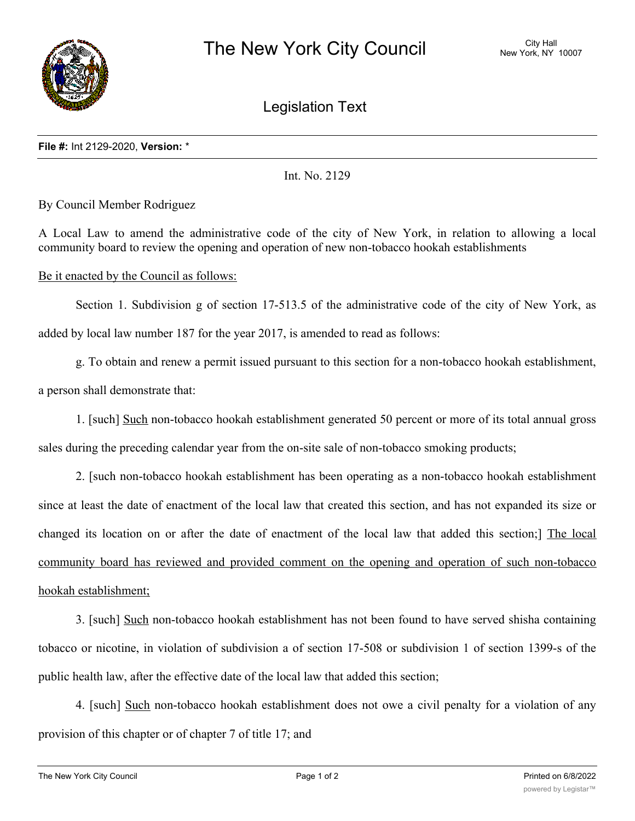

Legislation Text

## **File #:** Int 2129-2020, **Version:** \*

Int. No. 2129

By Council Member Rodriguez

A Local Law to amend the administrative code of the city of New York, in relation to allowing a local community board to review the opening and operation of new non-tobacco hookah establishments

## Be it enacted by the Council as follows:

Section 1. Subdivision g of section 17-513.5 of the administrative code of the city of New York, as added by local law number 187 for the year 2017, is amended to read as follows:

g. To obtain and renew a permit issued pursuant to this section for a non-tobacco hookah establishment, a person shall demonstrate that:

1. [such] Such non-tobacco hookah establishment generated 50 percent or more of its total annual gross sales during the preceding calendar year from the on-site sale of non-tobacco smoking products;

2. [such non-tobacco hookah establishment has been operating as a non-tobacco hookah establishment since at least the date of enactment of the local law that created this section, and has not expanded its size or changed its location on or after the date of enactment of the local law that added this section;] The local community board has reviewed and provided comment on the opening and operation of such non-tobacco hookah establishment;

3. [such] Such non-tobacco hookah establishment has not been found to have served shisha containing tobacco or nicotine, in violation of subdivision a of section 17-508 or subdivision 1 of section 1399-s of the public health law, after the effective date of the local law that added this section;

4. [such] Such non-tobacco hookah establishment does not owe a civil penalty for a violation of any provision of this chapter or of chapter 7 of title 17; and

 $\mathbf{f}_\text{t}$  ,  $\mathbf{f}_\text{t}$  and to the permit of such non-tobacco hookah establishment is section has not to this section has no